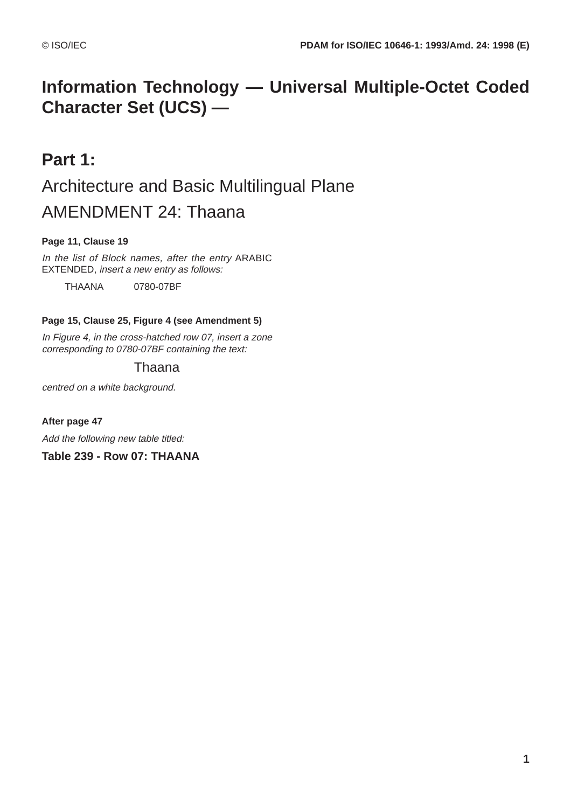## **Information Technology — Universal Multiple-Octet Coded Character Set (UCS) —**

# **Part 1:** Architecture and Basic Multilingual Plane AMENDMENT 24: Thaana

## **Page 11, Clause 19**

In the list of Block names, after the entry ARABIC EXTENDED, insert a new entry as follows:

THAANA 0780-07BF

#### **Page 15, Clause 25, Figure 4 (see Amendment 5)**

In Figure 4, in the cross-hatched row 07, insert a zone corresponding to 0780-07BF containing the text:

## Thaana

centred on a white background.

**After page 47**

Add the following new table titled:

**Table 239 - Row 07: THAANA**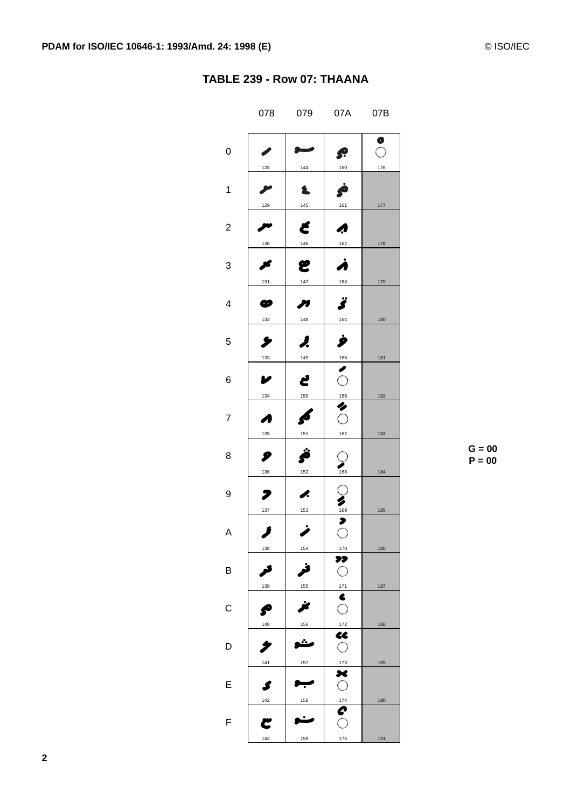|  | TABLE 239 - Row 07: THAANA |
|--|----------------------------|
|  |                            |

|                | 078             | 079                    | 07A                                                      | 07B                     |
|----------------|-----------------|------------------------|----------------------------------------------------------|-------------------------|
| 0              |                 |                        | Ŗ                                                        | $\bullet$<br>$\bigcirc$ |
| 1              | 128<br>129      | 144<br>145             | 160<br>Ġ<br>161                                          | 176<br>$177$            |
| $\overline{c}$ | 130             | Ć<br>146               | A<br>162                                                 | 178                     |
| 3              | 131             | e<br>147               | À<br>163                                                 | 179                     |
| 4              | æ<br>132        | n<br>148               | Ï<br>164                                                 | 180                     |
| 5              | ⋟<br>133        | Ĵ.<br>149              | Ì                                                        | 181                     |
| 6              | v<br>134        | ئ<br>150               | $\overbrace{)}^{\frac{165}{2}}$<br>166                   | 182                     |
| 7              | A<br>135        | $\blacklozenge$<br>151 | Y<br>$\bigcirc$<br>167                                   | 183                     |
| 8              | 9<br>136        | Ö<br>152               | Q<br>$rac{168}{168}$                                     | 184                     |
| 9              | 7<br>137        | I.<br>153              | $\sum_{169}$                                             | 185                     |
| A              | 138             | 154                    | $\bigcirc$<br>170                                        | 186                     |
| B              | 139             | 155                    | 77<br>$\bigcirc$<br>171                                  | 187                     |
| С              | F<br>$140$      | ż<br>156               | $\bullet$<br>$\bigcirc$<br>$172$                         | 188                     |
| D              | I<br>141        | <u>.</u><br>157        | W<br>$\bigcirc$                                          | 189                     |
| Е              | S               |                        | $\frac{173}{2}$<br>$\overline{\mathbf{x}}$<br>$\bigcirc$ |                         |
| F              | 142<br>٣<br>143 | 158<br>159             | 174<br>G<br>$\bigcirc$<br>176                            | 190<br>191              |

 $G = 00$  $P = 00$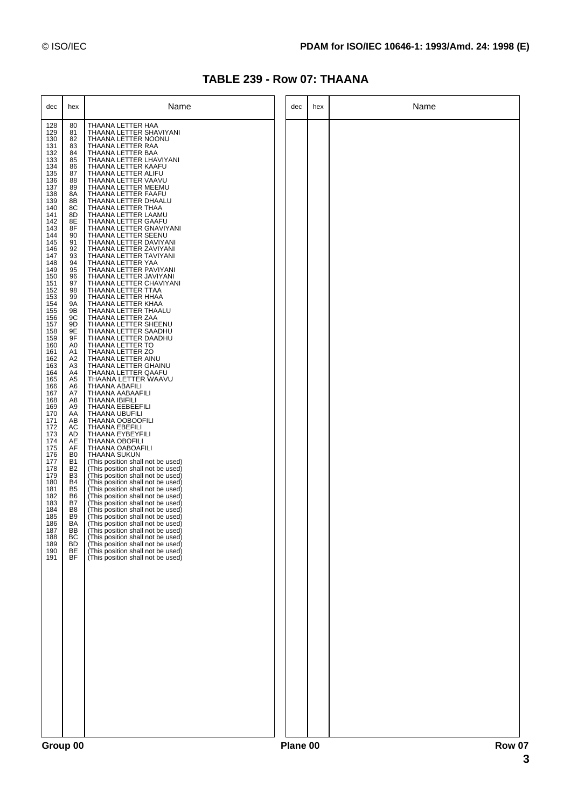| dec                                                                                                                                                                                                                                                                                                                                                                                                                                                          | hex                                                                                                                                                                                                                                                                                                                                                                                                                                                                                                                                                   | Name                                                                                                                                                                                                                                                                                                                                                                                                                                                                                                                                                                                                                                                                                                                                                                                                                                                                                                                                                                                                                                                                                                                                                                                                                                                                                                                                                                                                                                                                                                                                                                                                                                                                                                                          | dec | hex | Name |
|--------------------------------------------------------------------------------------------------------------------------------------------------------------------------------------------------------------------------------------------------------------------------------------------------------------------------------------------------------------------------------------------------------------------------------------------------------------|-------------------------------------------------------------------------------------------------------------------------------------------------------------------------------------------------------------------------------------------------------------------------------------------------------------------------------------------------------------------------------------------------------------------------------------------------------------------------------------------------------------------------------------------------------|-------------------------------------------------------------------------------------------------------------------------------------------------------------------------------------------------------------------------------------------------------------------------------------------------------------------------------------------------------------------------------------------------------------------------------------------------------------------------------------------------------------------------------------------------------------------------------------------------------------------------------------------------------------------------------------------------------------------------------------------------------------------------------------------------------------------------------------------------------------------------------------------------------------------------------------------------------------------------------------------------------------------------------------------------------------------------------------------------------------------------------------------------------------------------------------------------------------------------------------------------------------------------------------------------------------------------------------------------------------------------------------------------------------------------------------------------------------------------------------------------------------------------------------------------------------------------------------------------------------------------------------------------------------------------------------------------------------------------------|-----|-----|------|
| 128<br>129<br>130<br>131<br>132<br>133<br>134<br>135<br>136<br>137<br>138<br>139<br>140<br>141<br>142<br>143<br>144<br>145<br>146<br>147<br>148<br>149<br>150<br>151<br>152<br>153<br>154<br>155<br>156<br>157<br>158<br>159<br>160<br>161<br>162<br>163<br>164<br>165<br>166<br>167<br>168<br>169<br>170<br>171<br>172<br>173<br>174<br>175<br>176<br>177<br>178<br>179<br>180<br>181<br>182<br>183<br>184<br>185<br>186<br>187<br>188<br>189<br>190<br>191 | 80<br>81<br>82<br>83<br>84<br>85<br>86<br>87<br>88<br>89<br>8A<br>8B<br>8C<br>8D<br>8E<br>8F<br>90<br>91<br>92<br>93<br>94<br>95<br>96<br>97<br>98<br>99<br>9Α<br>9Β<br>9C<br>9D<br>9E<br>9F<br>A <sub>0</sub><br>A1<br>A2<br>A <sub>3</sub><br>A4<br>A <sub>5</sub><br>A6<br>A7<br>A8<br>A <sub>9</sub><br>AA<br>AB<br>AC<br>AD<br>AE<br>AF<br>B <sub>0</sub><br><b>B1</b><br>B <sub>2</sub><br>B <sub>3</sub><br>B <sub>4</sub><br>B <sub>5</sub><br>B6<br>B7<br>B <sub>8</sub><br>B <sub>9</sub><br>BA<br>BB<br><b>BC</b><br><b>BD</b><br>BE<br>BF | THAANA LETTER HAA<br>THAANA LETTER SHAVIYANI<br>THAANA LETTER NOONU<br>THAANA LETTER RAA<br>THAANA LETTER BAA<br>THAANA LETTER LHAVIYANI<br>THAANA LETTER KAAFU<br>THAANA LETTER ALIFU<br>THAANA LETTER VAAVU<br>THAANA LETTER MEEMU<br>THAANA LETTER FAAFU<br>THAANA LETTER DHAALU<br>THAANA LETTER THAA<br>THAANA LETTER LAAMU<br>THAANA LETTER GAAFU<br>THAANA LETTER GNAVIYANI<br>THAANA LETTER SEENU<br>THAANA LETTER DAVIYANI<br>THAANA LETTER ZAVIYANI<br>THAANA LETTER TAVIYANI<br>THAANA LETTER YAA<br>THAANA LETTER PAVIYANI<br>THAANA LETTER JAVIYANI<br>THAANA LETTER CHAVIYANI<br>THAANA LETTER TTAA<br>THAANA LETTER HHAA<br>THAANA LETTER KHAA<br>THAANA LETTER THAALU<br>THAANA LETTER ZAA<br>THAANA LETTER SHEENU<br>THAANA LETTER SAADHU<br>THAANA LETTER DAADHU<br>THAANA LETTER TO<br>THAANA LETTER ZO<br>THAANA LETTER AINU<br>THAANA LETTER GHAINU<br>THAANA LETTER QAAFU<br>THAANA LETTER WAAVU<br>THAANA ABAFILI<br>THAANA AABAAFILI<br>THAANA IBIFILI<br>THAANA EEBEEFILI<br>THAANA UBUFILI<br><b>THAANA OOBOOFILI</b><br>THAANA EBEFILI<br>THAANA EYBEYFILI<br><b>THAANA OBOFILI</b><br>THAANA OABOAFILI<br>THAANA SUKUN<br>(This position shall not be used)<br>(This position shall not be used)<br>(This position shall not be used)<br>(This position shall not be used)<br>(This position shall not be used)<br>(This position shall not be used)<br>(This position shall not be used)<br>(This position shall not be used)<br>(This position shall not be used)<br>(This position shall not be used)<br>(This position shall not be used)<br>(This position shall not be used)<br>(This position shall not be used)<br>(This position shall not be used)<br>(This position shall not be used) |     |     |      |

## **TABLE 239 - Row 07: THAANA**